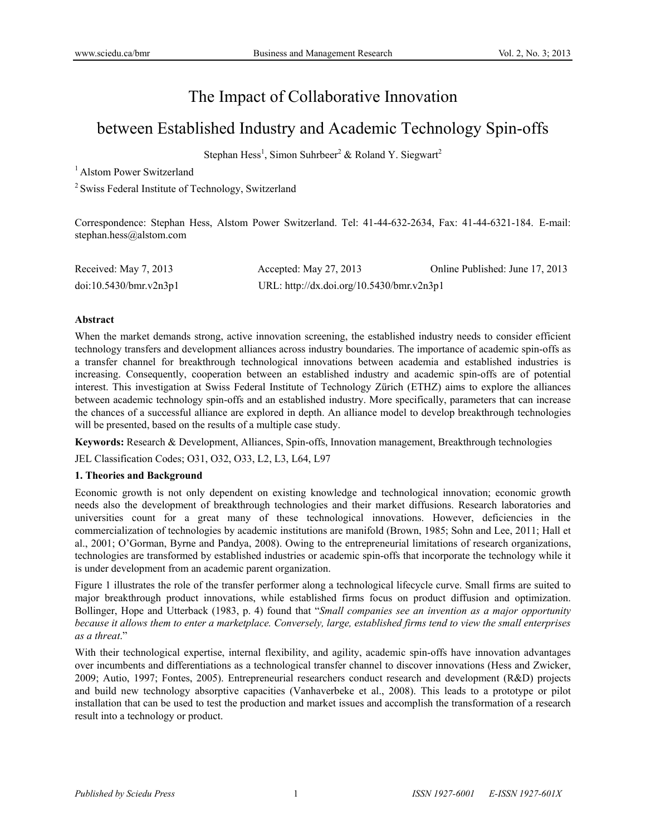# The Impact of Collaborative Innovation

# between Established Industry and Academic Technology Spin-offs

Stephan Hess<sup>1</sup>, Simon Suhrbeer<sup>2</sup> & Roland Y. Siegwart<sup>2</sup>

<sup>1</sup> Alstom Power Switzerland

2 Swiss Federal Institute of Technology, Switzerland

Correspondence: Stephan Hess, Alstom Power Switzerland. Tel: 41-44-632-2634, Fax: 41-44-6321-184. E-mail: stephan.hess@alstom.com

| Received: May 7, 2013  | Accepted: May $27, 2013$                  | Online Published: June 17, 2013 |
|------------------------|-------------------------------------------|---------------------------------|
| doi:10.5430/bmr.v2n3p1 | URL: http://dx.doi.org/10.5430/bmr.v2n3p1 |                                 |

#### **Abstract**

When the market demands strong, active innovation screening, the established industry needs to consider efficient technology transfers and development alliances across industry boundaries. The importance of academic spin-offs as a transfer channel for breakthrough technological innovations between academia and established industries is increasing. Consequently, cooperation between an established industry and academic spin-offs are of potential interest. This investigation at Swiss Federal Institute of Technology Zürich (ETHZ) aims to explore the alliances between academic technology spin-offs and an established industry. More specifically, parameters that can increase the chances of a successful alliance are explored in depth. An alliance model to develop breakthrough technologies will be presented, based on the results of a multiple case study.

**Keywords:** Research & Development, Alliances, Spin-offs, Innovation management, Breakthrough technologies

JEL Classification Codes; O31, O32, O33, L2, L3, L64, L97

### **1. Theories and Background**

Economic growth is not only dependent on existing knowledge and technological innovation; economic growth needs also the development of breakthrough technologies and their market diffusions. Research laboratories and universities count for a great many of these technological innovations. However, deficiencies in the commercialization of technologies by academic institutions are manifold (Brown, 1985; Sohn and Lee, 2011; Hall et al., 2001; O'Gorman, Byrne and Pandya, 2008). Owing to the entrepreneurial limitations of research organizations, technologies are transformed by established industries or academic spin-offs that incorporate the technology while it is under development from an academic parent organization.

Figure 1 illustrates the role of the transfer performer along a technological lifecycle curve. Small firms are suited to major breakthrough product innovations, while established firms focus on product diffusion and optimization. Bollinger, Hope and Utterback (1983, p. 4) found that "*Small companies see an invention as a major opportunity because it allows them to enter a marketplace. Conversely, large, established firms tend to view the small enterprises as a threat*."

With their technological expertise, internal flexibility, and agility, academic spin-offs have innovation advantages over incumbents and differentiations as a technological transfer channel to discover innovations (Hess and Zwicker, 2009; Autio, 1997; Fontes, 2005). Entrepreneurial researchers conduct research and development (R&D) projects and build new technology absorptive capacities (Vanhaverbeke et al., 2008). This leads to a prototype or pilot installation that can be used to test the production and market issues and accomplish the transformation of a research result into a technology or product.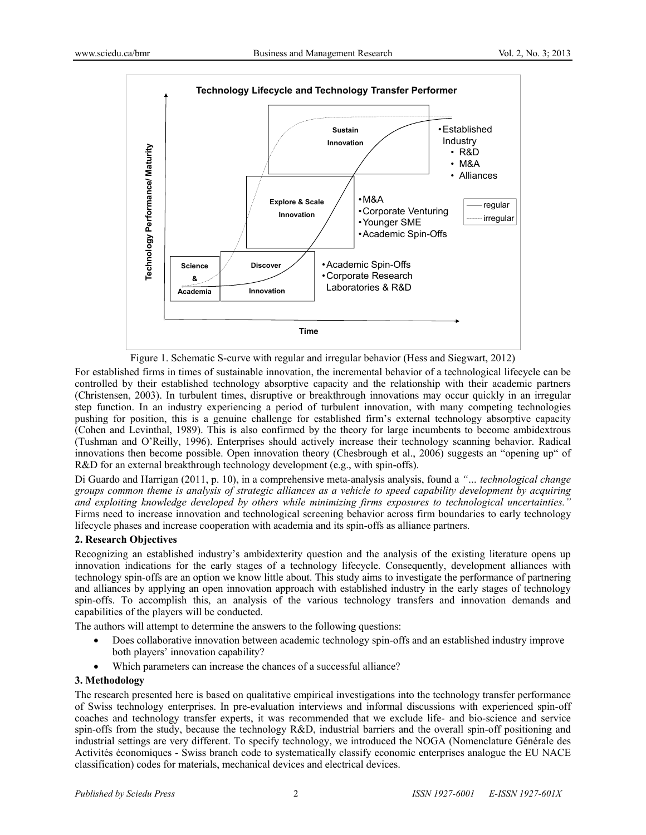

Figure 1. Schematic S-curve with regular and irregular behavior (Hess and Siegwart, 2012)

For established firms in times of sustainable innovation, the incremental behavior of a technological lifecycle can be controlled by their established technology absorptive capacity and the relationship with their academic partners (Christensen, 2003). In turbulent times, disruptive or breakthrough innovations may occur quickly in an irregular step function. In an industry experiencing a period of turbulent innovation, with many competing technologies pushing for position, this is a genuine challenge for established firm's external technology absorptive capacity (Cohen and Levinthal, 1989). This is also confirmed by the theory for large incumbents to become ambidextrous (Tushman and O'Reilly, 1996). Enterprises should actively increase their technology scanning behavior. Radical innovations then become possible. Open innovation theory (Chesbrough et al., 2006) suggests an "opening up" of R&D for an external breakthrough technology development (e.g., with spin-offs).

Di Guardo and Harrigan (2011, p. 10), in a comprehensive meta-analysis analysis, found a *"… technological change groups common theme is analysis of strategic alliances as a vehicle to speed capability development by acquiring and exploiting knowledge developed by others while minimizing firms exposures to technological uncertainties."* Firms need to increase innovation and technological screening behavior across firm boundaries to early technology lifecycle phases and increase cooperation with academia and its spin-offs as alliance partners.

### **2. Research Objectives**

Recognizing an established industry's ambidexterity question and the analysis of the existing literature opens up innovation indications for the early stages of a technology lifecycle. Consequently, development alliances with technology spin-offs are an option we know little about. This study aims to investigate the performance of partnering and alliances by applying an open innovation approach with established industry in the early stages of technology spin-offs. To accomplish this, an analysis of the various technology transfers and innovation demands and capabilities of the players will be conducted.

The authors will attempt to determine the answers to the following questions:

- Does collaborative innovation between academic technology spin-offs and an established industry improve both players' innovation capability?
- Which parameters can increase the chances of a successful alliance?

### **3. Methodology**

The research presented here is based on qualitative empirical investigations into the technology transfer performance of Swiss technology enterprises. In pre-evaluation interviews and informal discussions with experienced spin-off coaches and technology transfer experts, it was recommended that we exclude life- and bio-science and service spin-offs from the study, because the technology R&D, industrial barriers and the overall spin-off positioning and industrial settings are very different. To specify technology, we introduced the NOGA (Nomenclature Générale des Activités économiques - Swiss branch code to systematically classify economic enterprises analogue the EU NACE classification) codes for materials, mechanical devices and electrical devices.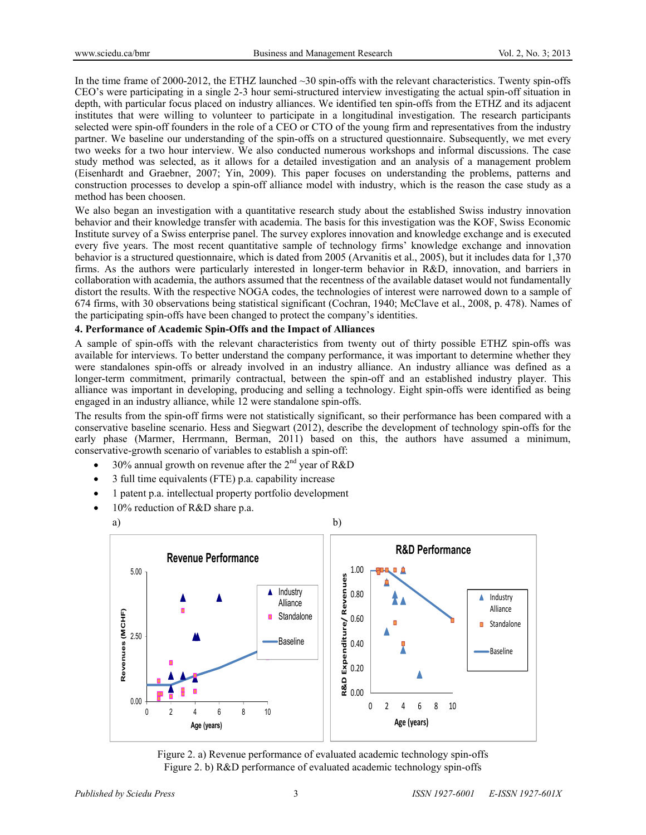In the time frame of 2000-2012, the ETHZ launched  $\sim$ 30 spin-offs with the relevant characteristics. Twenty spin-offs CEO's were participating in a single 2-3 hour semi-structured interview investigating the actual spin-off situation in depth, with particular focus placed on industry alliances. We identified ten spin-offs from the ETHZ and its adjacent institutes that were willing to volunteer to participate in a longitudinal investigation. The research participants selected were spin-off founders in the role of a CEO or CTO of the young firm and representatives from the industry partner. We baseline our understanding of the spin-offs on a structured questionnaire. Subsequently, we met every two weeks for a two hour interview. We also conducted numerous workshops and informal discussions. The case study method was selected, as it allows for a detailed investigation and an analysis of a management problem (Eisenhardt and Graebner, 2007; Yin, 2009). This paper focuses on understanding the problems, patterns and construction processes to develop a spin-off alliance model with industry, which is the reason the case study as a method has been choosen.

We also began an investigation with a quantitative research study about the established Swiss industry innovation behavior and their knowledge transfer with academia. The basis for this investigation was the KOF, Swiss Economic Institute survey of a Swiss enterprise panel. The survey explores innovation and knowledge exchange and is executed every five years. The most recent quantitative sample of technology firms' knowledge exchange and innovation behavior is a structured questionnaire, which is dated from 2005 (Arvanitis et al., 2005), but it includes data for 1,370 firms. As the authors were particularly interested in longer-term behavior in R&D, innovation, and barriers in collaboration with academia, the authors assumed that the recentness of the available dataset would not fundamentally distort the results. With the respective NOGA codes, the technologies of interest were narrowed down to a sample of 674 firms, with 30 observations being statistical significant (Cochran, 1940; McClave et al., 2008, p. 478). Names of the participating spin-offs have been changed to protect the company's identities.

#### **4. Performance of Academic Spin-Offs and the Impact of Alliances**

A sample of spin-offs with the relevant characteristics from twenty out of thirty possible ETHZ spin-offs was available for interviews. To better understand the company performance, it was important to determine whether they were standalones spin-offs or already involved in an industry alliance. An industry alliance was defined as a longer-term commitment, primarily contractual, between the spin-off and an established industry player. This alliance was important in developing, producing and selling a technology. Eight spin-offs were identified as being engaged in an industry alliance, while 12 were standalone spin-offs.

The results from the spin-off firms were not statistically significant, so their performance has been compared with a conservative baseline scenario. Hess and Siegwart (2012), describe the development of technology spin-offs for the early phase (Marmer, Herrmann, Berman, 2011) based on this, the authors have assumed a minimum, conservative-growth scenario of variables to establish a spin-off:

- 30% annual growth on revenue after the  $2<sup>nd</sup>$  year of R&D
- 3 full time equivalents (FTE) p.a. capability increase
- 1 patent p.a. intellectual property portfolio development
- 10% reduction of R&D share p.a.



Figure 2. a) Revenue performance of evaluated academic technology spin-offs Figure 2. b) R&D performance of evaluated academic technology spin-offs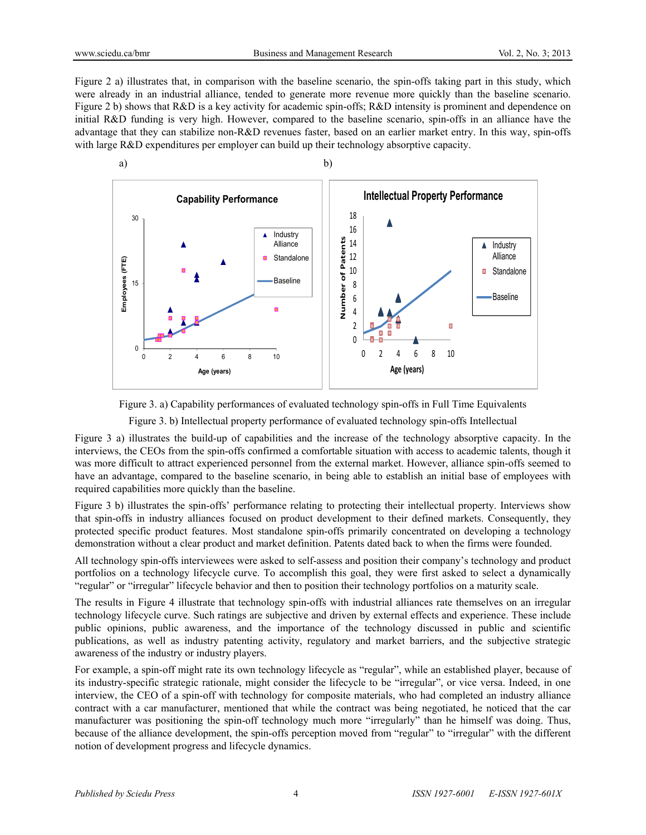Figure 2 a) illustrates that, in comparison with the baseline scenario, the spin-offs taking part in this study, which were already in an industrial alliance, tended to generate more revenue more quickly than the baseline scenario. Figure 2 b) shows that R&D is a key activity for academic spin-offs; R&D intensity is prominent and dependence on initial R&D funding is very high. However, compared to the baseline scenario, spin-offs in an alliance have the advantage that they can stabilize non-R&D revenues faster, based on an earlier market entry. In this way, spin-offs with large R&D expenditures per employer can build up their technology absorptive capacity.





Figure 3. b) Intellectual property performance of evaluated technology spin-offs Intellectual

Figure 3 a) illustrates the build-up of capabilities and the increase of the technology absorptive capacity. In the interviews, the CEOs from the spin-offs confirmed a comfortable situation with access to academic talents, though it was more difficult to attract experienced personnel from the external market. However, alliance spin-offs seemed to have an advantage, compared to the baseline scenario, in being able to establish an initial base of employees with required capabilities more quickly than the baseline.

Figure 3 b) illustrates the spin-offs' performance relating to protecting their intellectual property. Interviews show that spin-offs in industry alliances focused on product development to their defined markets. Consequently, they protected specific product features. Most standalone spin-offs primarily concentrated on developing a technology demonstration without a clear product and market definition. Patents dated back to when the firms were founded.

All technology spin-offs interviewees were asked to self-assess and position their company's technology and product portfolios on a technology lifecycle curve. To accomplish this goal, they were first asked to select a dynamically "regular" or "irregular" lifecycle behavior and then to position their technology portfolios on a maturity scale.

The results in Figure 4 illustrate that technology spin-offs with industrial alliances rate themselves on an irregular technology lifecycle curve. Such ratings are subjective and driven by external effects and experience. These include public opinions, public awareness, and the importance of the technology discussed in public and scientific publications, as well as industry patenting activity, regulatory and market barriers, and the subjective strategic awareness of the industry or industry players.

For example, a spin-off might rate its own technology lifecycle as "regular", while an established player, because of its industry-specific strategic rationale, might consider the lifecycle to be "irregular", or vice versa. Indeed, in one interview, the CEO of a spin-off with technology for composite materials, who had completed an industry alliance contract with a car manufacturer, mentioned that while the contract was being negotiated, he noticed that the car manufacturer was positioning the spin-off technology much more "irregularly" than he himself was doing. Thus, because of the alliance development, the spin-offs perception moved from "regular" to "irregular" with the different notion of development progress and lifecycle dynamics.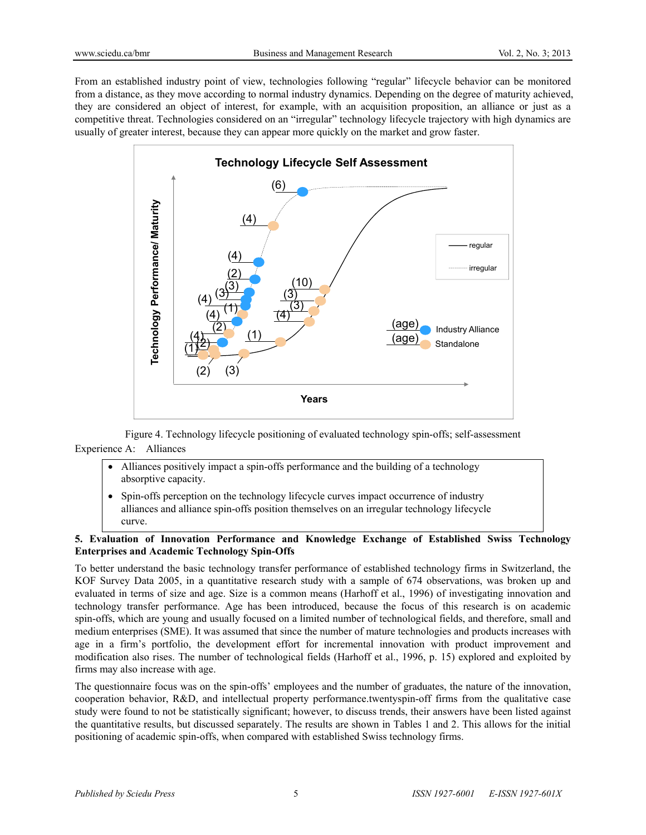From an established industry point of view, technologies following "regular" lifecycle behavior can be monitored from a distance, as they move according to normal industry dynamics. Depending on the degree of maturity achieved, they are considered an object of interest, for example, with an acquisition proposition, an alliance or just as a competitive threat. Technologies considered on an "irregular" technology lifecycle trajectory with high dynamics are usually of greater interest, because they can appear more quickly on the market and grow faster.



Figure 4. Technology lifecycle positioning of evaluated technology spin-offs; self-assessment Experience A: Alliances

- Alliances positively impact a spin-offs performance and the building of a technology absorptive capacity.
- Spin-offs perception on the technology lifecycle curves impact occurrence of industry alliances and alliance spin-offs position themselves on an irregular technology lifecycle curve.

# **5. Evaluation of Innovation Performance and Knowledge Exchange of Established Swiss Technology Enterprises and Academic Technology Spin-Offs**

To better understand the basic technology transfer performance of established technology firms in Switzerland, the KOF Survey Data 2005, in a quantitative research study with a sample of 674 observations, was broken up and evaluated in terms of size and age. Size is a common means (Harhoff et al., 1996) of investigating innovation and technology transfer performance. Age has been introduced, because the focus of this research is on academic spin-offs, which are young and usually focused on a limited number of technological fields, and therefore, small and medium enterprises (SME). It was assumed that since the number of mature technologies and products increases with age in a firm's portfolio, the development effort for incremental innovation with product improvement and modification also rises. The number of technological fields (Harhoff et al., 1996, p. 15) explored and exploited by firms may also increase with age.

The questionnaire focus was on the spin-offs' employees and the number of graduates, the nature of the innovation, cooperation behavior, R&D, and intellectual property performance.twentyspin-off firms from the qualitative case study were found to not be statistically significant; however, to discuss trends, their answers have been listed against the quantitative results, but discussed separately. The results are shown in Tables 1 and 2. This allows for the initial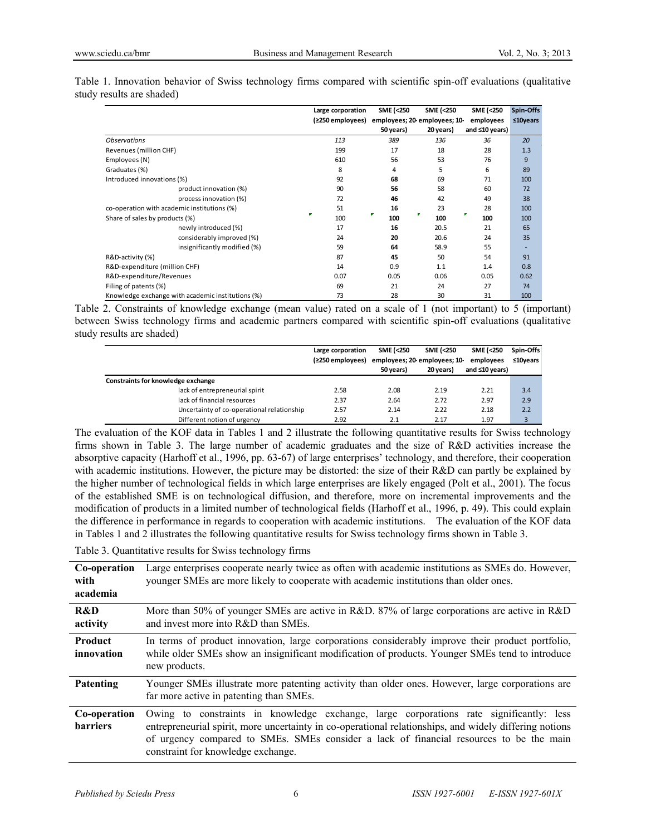| Table 1. Innovation behavior of Swiss technology firms compared with scientific spin-off evaluations (qualitative<br>study results are shaded) |  |  |                   |                     |                     |                                                                   |  |
|------------------------------------------------------------------------------------------------------------------------------------------------|--|--|-------------------|---------------------|---------------------|-------------------------------------------------------------------|--|
|                                                                                                                                                |  |  | Large corporation | <b>SME (&lt;250</b> | <b>SME (&lt;250</b> | SME (<250 Spin-Offs                                               |  |
|                                                                                                                                                |  |  |                   |                     |                     | (≥250 employees) employees; 20- employees; 10- employees ≤10years |  |
|                                                                                                                                                |  |  |                   | 50 vears)           | 20 vears)           | and $\leq 10$ vears)                                              |  |

|                                                   | (≥250 employees) |           | employees; 20-employees; 10- | employees      | $≤10$ years |
|---------------------------------------------------|------------------|-----------|------------------------------|----------------|-------------|
|                                                   |                  | 50 years) | 20 years)                    | and ≤10 years) |             |
| <b>Observations</b>                               | 113              | 389       | 136                          | 36             | 20          |
| Revenues (million CHF)                            | 199              | 17        | 18                           | 28             | 1.3         |
| Employees (N)                                     | 610              | 56        | 53                           | 76             | 9           |
| Graduates (%)                                     | 8                | 4         | 5                            | 6              | 89          |
| Introduced innovations (%)                        | 92               | 68        | 69                           | 71             | 100         |
| product innovation (%)                            | 90               | 56        | 58                           | 60             | 72          |
| process innovation (%)                            | 72               | 46        | 42                           | 49             | 38          |
| co-operation with academic institutions (%)       | 51               | 16        | 23                           | 28             | 100         |
| Share of sales by products (%)                    | Р<br>100         | г<br>100  | 100                          | π<br>100       | 100         |
| newly introduced (%)                              | 17               | 16        | 20.5                         | 21             | 65          |
| considerably improved (%)                         | 24               | 20        | 20.6                         | 24             | 35          |
| insignificantly modified (%)                      | 59               | 64        | 58.9                         | 55             |             |
| R&D-activity (%)                                  | 87               | 45        | 50                           | 54             | 91          |
| R&D-expenditure (million CHF)                     | 14               | 0.9       | 1.1                          | 1.4            | 0.8         |
| R&D-expenditure/Revenues                          | 0.07             | 0.05      | 0.06                         | 0.05           | 0.62        |
| Filing of patents (%)                             | 69               | 21        | 24                           | 27             | 74          |
| Knowledge exchange with academic institutions (%) | 73               | 28        | 30                           | 31             | 100         |

Table 2. Constraints of knowledge exchange (mean value) rated on a scale of 1 (not important) to 5 (important) between Swiss technology firms and academic partners compared with scientific spin-off evaluations (qualitative study results are shaded)

|                                            | Large corporation<br>(≥250 employees) | <b>SME (&lt;250</b><br>employees; 20-employees; 10- | <b>SME (&lt;250</b> | <b>SME (&lt;250</b><br>employees | Spin-Offs<br>$≤10$ vears |
|--------------------------------------------|---------------------------------------|-----------------------------------------------------|---------------------|----------------------------------|--------------------------|
|                                            |                                       | 50 years)                                           | 20 years)           | and $\leq 10$ years)             |                          |
| <b>Constraints for knowledge exchange</b>  |                                       |                                                     |                     |                                  |                          |
| lack of entrepreneurial spirit             | 2.58                                  | 2.08                                                | 2.19                | 2.21                             | 3.4                      |
| lack of financial resources                | 2.37                                  | 2.64                                                | 2.72                | 2.97                             | 2.9                      |
| Uncertainty of co-operational relationship | 2.57                                  | 2.14                                                | 2.22                | 2.18                             | 2.2                      |
| Different notion of urgency                | 2.92                                  | 2.1                                                 | 2.17                | 1.97                             | 3                        |

The evaluation of the KOF data in Tables 1 and 2 illustrate the following quantitative results for Swiss technology firms shown in Table 3. The large number of academic graduates and the size of R&D activities increase the absorptive capacity (Harhoff et al., 1996, pp. 63-67) of large enterprises' technology, and therefore, their cooperation with academic institutions. However, the picture may be distorted: the size of their R&D can partly be explained by the higher number of technological fields in which large enterprises are likely engaged (Polt et al., 2001). The focus of the established SME is on technological diffusion, and therefore, more on incremental improvements and the modification of products in a limited number of technological fields (Harhoff et al., 1996, p. 49). This could explain the difference in performance in regards to cooperation with academic institutions. The evaluation of the KOF data in Tables 1 and 2 illustrates the following quantitative results for Swiss technology firms shown in Table 3.

Table 3. Quantitative results for Swiss technology firms

| Co-operation<br>with<br>academia | Large enterprises cooperate nearly twice as often with academic institutions as SMEs do. However,<br>younger SMEs are more likely to cooperate with academic institutions than older ones.                                                                                                                                         |
|----------------------------------|------------------------------------------------------------------------------------------------------------------------------------------------------------------------------------------------------------------------------------------------------------------------------------------------------------------------------------|
| R&D<br>activity                  | More than 50% of younger SMEs are active in R&D. 87% of large corporations are active in R&D<br>and invest more into R&D than SMEs.                                                                                                                                                                                                |
| Product<br>innovation            | In terms of product innovation, large corporations considerably improve their product portfolio,<br>while older SMEs show an insignificant modification of products. Younger SMEs tend to introduce<br>new products.                                                                                                               |
| Patenting                        | Younger SMEs illustrate more patenting activity than older ones. However, large corporations are<br>far more active in patenting than SMEs.                                                                                                                                                                                        |
| Co-operation<br>barriers         | Owing to constraints in knowledge exchange, large corporations rate significantly: less<br>entrepreneurial spirit, more uncertainty in co-operational relationships, and widely differing notions<br>of urgency compared to SMEs. SMEs consider a lack of financial resources to be the main<br>constraint for knowledge exchange. |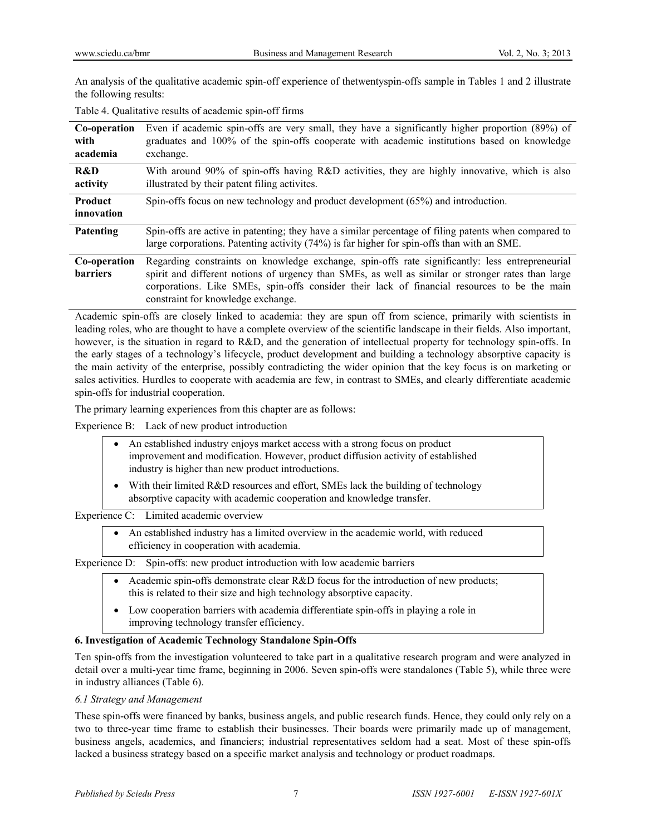An analysis of the qualitative academic spin-off experience of thetwentyspin-offs sample in Tables 1 and 2 illustrate the following results:

| Co-operation<br>with<br>academia | Even if academic spin-offs are very small, they have a significantly higher proportion (89%) of<br>graduates and 100% of the spin-offs cooperate with academic institutions based on knowledge<br>exchange.                                                                                                                                 |
|----------------------------------|---------------------------------------------------------------------------------------------------------------------------------------------------------------------------------------------------------------------------------------------------------------------------------------------------------------------------------------------|
| R&D<br>activity                  | With around 90% of spin-offs having R&D activities, they are highly innovative, which is also<br>illustrated by their patent filing activites.                                                                                                                                                                                              |
| <b>Product</b><br>innovation     | Spin-offs focus on new technology and product development $(65\%)$ and introduction.                                                                                                                                                                                                                                                        |
| <b>Patenting</b>                 | Spin-offs are active in patenting; they have a similar percentage of filing patents when compared to<br>large corporations. Patenting activity $(74%)$ is far higher for spin-offs than with an SME.                                                                                                                                        |
| Co-operation<br><b>barriers</b>  | Regarding constraints on knowledge exchange, spin-offs rate significantly: less entrepreneurial<br>spirit and different notions of urgency than SMEs, as well as similar or stronger rates than large<br>corporations. Like SMEs, spin-offs consider their lack of financial resources to be the main<br>constraint for knowledge exchange. |

Table 4. Qualitative results of academic spin-off firms

Academic spin-offs are closely linked to academia: they are spun off from science, primarily with scientists in leading roles, who are thought to have a complete overview of the scientific landscape in their fields. Also important, however, is the situation in regard to R&D, and the generation of intellectual property for technology spin-offs. In the early stages of a technology's lifecycle, product development and building a technology absorptive capacity is the main activity of the enterprise, possibly contradicting the wider opinion that the key focus is on marketing or sales activities. Hurdles to cooperate with academia are few, in contrast to SMEs, and clearly differentiate academic spin-offs for industrial cooperation.

The primary learning experiences from this chapter are as follows:

Experience B: Lack of new product introduction

| • An established industry enjoys market access with a strong focus on product    |
|----------------------------------------------------------------------------------|
| improvement and modification. However, product diffusion activity of established |
| industry is higher than new product introductions.                               |

 With their limited R&D resources and effort, SMEs lack the building of technology absorptive capacity with academic cooperation and knowledge transfer.

Experience C: Limited academic overview

 An established industry has a limited overview in the academic world, with reduced efficiency in cooperation with academia.

Experience D: Spin-offs: new product introduction with low academic barriers

- Academic spin-offs demonstrate clear R&D focus for the introduction of new products; this is related to their size and high technology absorptive capacity.
- Low cooperation barriers with academia differentiate spin-offs in playing a role in improving technology transfer efficiency.

### **6. Investigation of Academic Technology Standalone Spin-Offs**

Ten spin-offs from the investigation volunteered to take part in a qualitative research program and were analyzed in detail over a multi-year time frame, beginning in 2006. Seven spin-offs were standalones (Table 5), while three were in industry alliances (Table 6).

### *6.1 Strategy and Management*

These spin-offs were financed by banks, business angels, and public research funds. Hence, they could only rely on a two to three-year time frame to establish their businesses. Their boards were primarily made up of management, business angels, academics, and financiers; industrial representatives seldom had a seat. Most of these spin-offs lacked a business strategy based on a specific market analysis and technology or product roadmaps.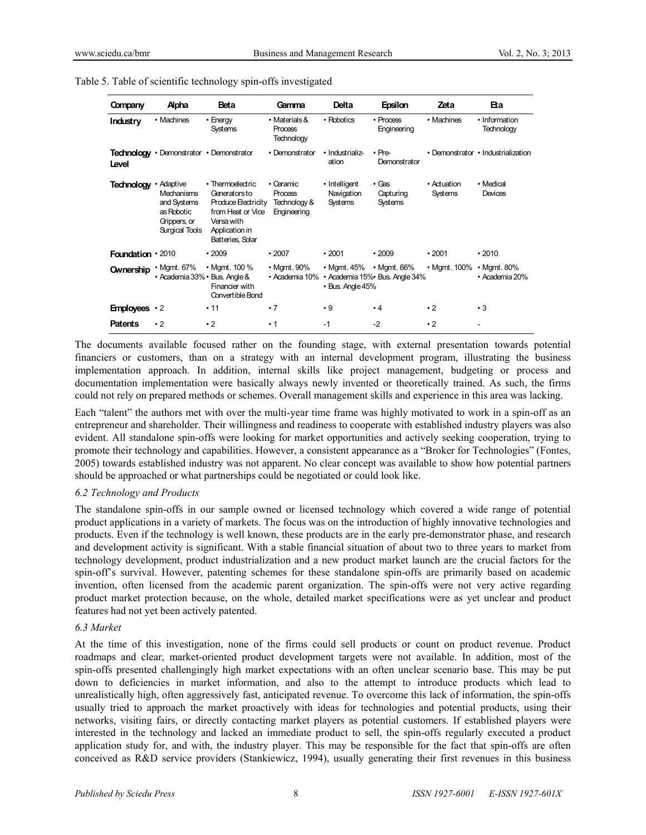|  |  |  | Table 5. Table of scientific technology spin-offs investigated |
|--|--|--|----------------------------------------------------------------|
|  |  |  |                                                                |

| Company                                   | <b>Apha</b>                                                                                  | <b>Beta</b>                                                                                                                      | Gamma                                                      | <b>Delta</b>                           | <b>Epsilon</b>                                     | Zeta                   | Eta                                |
|-------------------------------------------|----------------------------------------------------------------------------------------------|----------------------------------------------------------------------------------------------------------------------------------|------------------------------------------------------------|----------------------------------------|----------------------------------------------------|------------------------|------------------------------------|
| Industry                                  | • Machines                                                                                   | $\cdot$ Energy<br>Systems                                                                                                        | • Materials &<br>Process<br><b>Technology</b>              | • Robotics                             | • Process<br>Engineering                           | • Machines             | • Information<br><b>Technology</b> |
| Level                                     |                                                                                              | Technology · Demonstrator · Demonstrator                                                                                         | • Demonstrator                                             | · Industrializ-<br>ation               | $\cdot$ Pre-<br>Demonstrator                       |                        | • Demonstrator • Industrialization |
| <b>Technology</b>                         | Adaptive<br><b>Mechanisms</b><br>and Systems<br>as Robotic<br>Grippers, or<br>Surgical Tools | • Thermoelectric<br>Generatorsto<br>Produce Electricity<br>from Heat or Vice<br>Versa with<br>Application in<br>Batteries, Solar | • Ceramic<br><b>Process</b><br>Technology &<br>Engineering | • Intelligent<br>Navigation<br>Systems | ∙Gas<br>Capturing<br>Systems                       | • Actuation<br>Systems | • Medical<br>Devices               |
| <b>Foundation <math>\cdot</math> 2010</b> |                                                                                              | $\cdot$ 2009                                                                                                                     | $\cdot$ 2007                                               | $\cdot$ 2001                           | $\cdot$ 2009                                       | $\cdot$ 2001           | $\cdot$ 2010                       |
| Ownership                                 | $\cdot$ Mgmt. 67%                                                                            | • Mgmt. $100\%$<br>· Academia 33% · Bus. Angle &<br>Financier with<br>Convertible Bond                                           | $\cdot$ Mgmt. 90%<br>• Academia 10%                        | • Mgmt. 45%<br>$\cdot$ Bus. Angle 45%  | $\cdot$ Mgmt. 66%<br>• Academia 15% Bus. Angle 34% | $\cdot$ Mgmt. 100%     | • Mgmt. 80%<br>• Academia 20%      |
| <b>Employees</b> $\cdot$ 2                |                                                                                              | • 11                                                                                                                             | $\cdot$ 7                                                  | $\cdot$ 9                              | $\cdot$ 4                                          | $\cdot$ 2              | $\cdot$ 3                          |
| <b>Patents</b>                            | $\cdot$ 2                                                                                    | $\cdot$ 2                                                                                                                        | $\cdot$ 1                                                  | $-1$                                   | $-2$                                               | $\cdot$ 2              |                                    |

The documents available focused rather on the founding stage, with external presentation towards potential financiers or customers, than on a strategy with an internal development program, illustrating the business implementation approach. In addition, internal skills like project management, budgeting or process and documentation implementation were basically always newly invented or theoretically trained. As such, the firms could not rely on prepared methods or schemes. Overall management skills and experience in this area was lacking.

Each "talent" the authors met with over the multi-year time frame was highly motivated to work in a spin-off as an entrepreneur and shareholder. Their willingness and readiness to cooperate with established industry players was also evident. All standalone spin-offs were looking for market opportunities and actively seeking cooperation, trying to promote their technology and capabilities. However, a consistent appearance as a "Broker for Technologies" (Fontes, 2005) towards established industry was not apparent. No clear concept was available to show how potential partners should be approached or what partnerships could be negotiated or could look like.

#### *6.2 Technology and Products*

The standalone spin-offs in our sample owned or licensed technology which covered a wide range of potential product applications in a variety of markets. The focus was on the introduction of highly innovative technologies and products. Even if the technology is well known, these products are in the early pre-demonstrator phase, and research and development activity is significant. With a stable financial situation of about two to three years to market from technology development, product industrialization and a new product market launch are the crucial factors for the spin-off's survival. However, patenting schemes for these standalone spin-offs are primarily based on academic invention, often licensed from the academic parent organization. The spin-offs were not very active regarding product market protection because, on the whole, detailed market specifications were as yet unclear and product features had not yet been actively patented.

#### *6.3 Market*

At the time of this investigation, none of the firms could sell products or count on product revenue. Product roadmaps and clear, market-oriented product development targets were not available. In addition, most of the spin-offs presented challengingly high market expectations with an often unclear scenario base. This may be put down to deficiencies in market information, and also to the attempt to introduce products which lead to unrealistically high, often aggressively fast, anticipated revenue. To overcome this lack of information, the spin-offs usually tried to approach the market proactively with ideas for technologies and potential products, using their networks, visiting fairs, or directly contacting market players as potential customers. If established players were interested in the technology and lacked an immediate product to sell, the spin-offs regularly executed a product application study for, and with, the industry player. This may be responsible for the fact that spin-offs are often conceived as R&D service providers (Stankiewicz, 1994), usually generating their first revenues in this business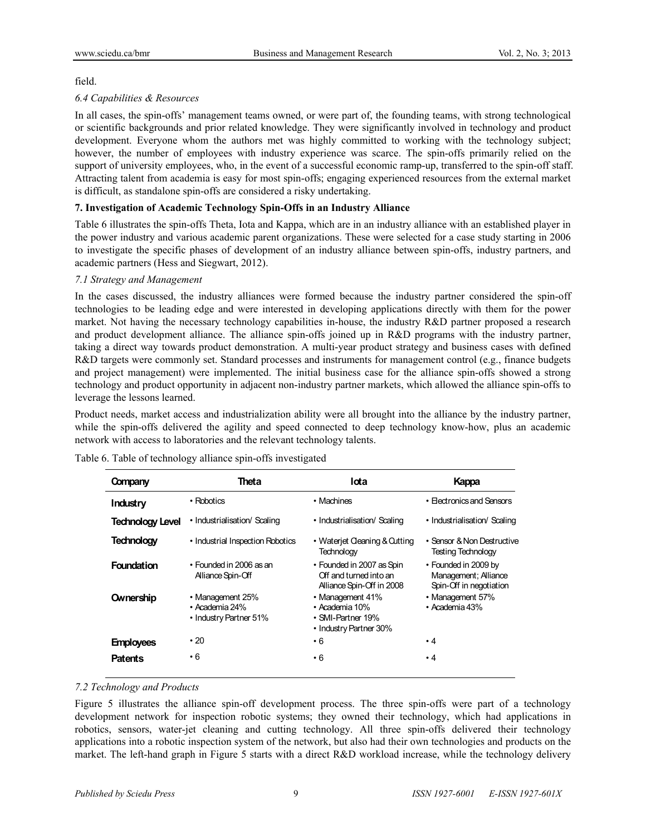field.

# *6.4 Capabilities & Resources*

In all cases, the spin-offs' management teams owned, or were part of, the founding teams, with strong technological or scientific backgrounds and prior related knowledge. They were significantly involved in technology and product development. Everyone whom the authors met was highly committed to working with the technology subject; however, the number of employees with industry experience was scarce. The spin-offs primarily relied on the support of university employees, who, in the event of a successful economic ramp-up, transferred to the spin-off staff. Attracting talent from academia is easy for most spin-offs; engaging experienced resources from the external market is difficult, as standalone spin-offs are considered a risky undertaking.

# **7. Investigation of Academic Technology Spin-Offs in an Industry Alliance**

Table 6 illustrates the spin-offs Theta, Iota and Kappa, which are in an industry alliance with an established player in the power industry and various academic parent organizations. These were selected for a case study starting in 2006 to investigate the specific phases of development of an industry alliance between spin-offs, industry partners, and academic partners (Hess and Siegwart, 2012).

# *7.1 Strategy and Management*

In the cases discussed, the industry alliances were formed because the industry partner considered the spin-off technologies to be leading edge and were interested in developing applications directly with them for the power market. Not having the necessary technology capabilities in-house, the industry R&D partner proposed a research and product development alliance. The alliance spin-offs joined up in R&D programs with the industry partner, taking a direct way towards product demonstration. A multi-year product strategy and business cases with defined R&D targets were commonly set. Standard processes and instruments for management control (e.g., finance budgets and project management) were implemented. The initial business case for the alliance spin-offs showed a strong technology and product opportunity in adjacent non-industry partner markets, which allowed the alliance spin-offs to leverage the lessons learned.

Product needs, market access and industrialization ability were all brought into the alliance by the industry partner, while the spin-offs delivered the agility and speed connected to deep technology know-how, plus an academic network with access to laboratories and the relevant technology talents.

| Company                 | Theta                                                        | lota                                                                              | Kappa                                                                   |  |  |
|-------------------------|--------------------------------------------------------------|-----------------------------------------------------------------------------------|-------------------------------------------------------------------------|--|--|
| Industry                | • Robotics                                                   | • Machines                                                                        | $\cdot$ Electronics and Sensors                                         |  |  |
| <b>Technology Level</b> | • Industrialisation/ Scaling                                 | • Industrialisation/ Scaling                                                      | • Industrialisation/ Scaling                                            |  |  |
| <b>Technology</b>       | • Industrial Inspection Robotics                             | • Waterjet Cleaning & Cutting<br>Technology                                       | • Sensor & Non Destructive<br><b>Testing Technology</b>                 |  |  |
| <b>Foundation</b>       | • Founded in 2006 as an<br>Alliance Spin-Off                 | • Founded in 2007 as Spin<br>Off and turned into an<br>Alliance Spin-Off in 2008  | • Founded in 2009 by<br>Management: Alliance<br>Spin-Off in negotiation |  |  |
| <b>Ownership</b>        | • Management 25%<br>• Academia 24%<br>• Industry Partner 51% | • Management 41%<br>• Academia 10%<br>• SMI-Partner 19%<br>• Industry Partner 30% | • Management 57%<br>• Academia 43%                                      |  |  |
| <b>Employees</b>        | $\cdot$ 20                                                   | $\cdot 6$                                                                         | • 4                                                                     |  |  |
| <b>Patents</b>          | • 6                                                          | $\cdot 6$                                                                         | • 4                                                                     |  |  |

### Table 6. Table of technology alliance spin-offs investigated

# *7.2 Technology and Products*

Figure 5 illustrates the alliance spin-off development process. The three spin-offs were part of a technology development network for inspection robotic systems; they owned their technology, which had applications in robotics, sensors, water-jet cleaning and cutting technology. All three spin-offs delivered their technology applications into a robotic inspection system of the network, but also had their own technologies and products on the market. The left-hand graph in Figure 5 starts with a direct R&D workload increase, while the technology delivery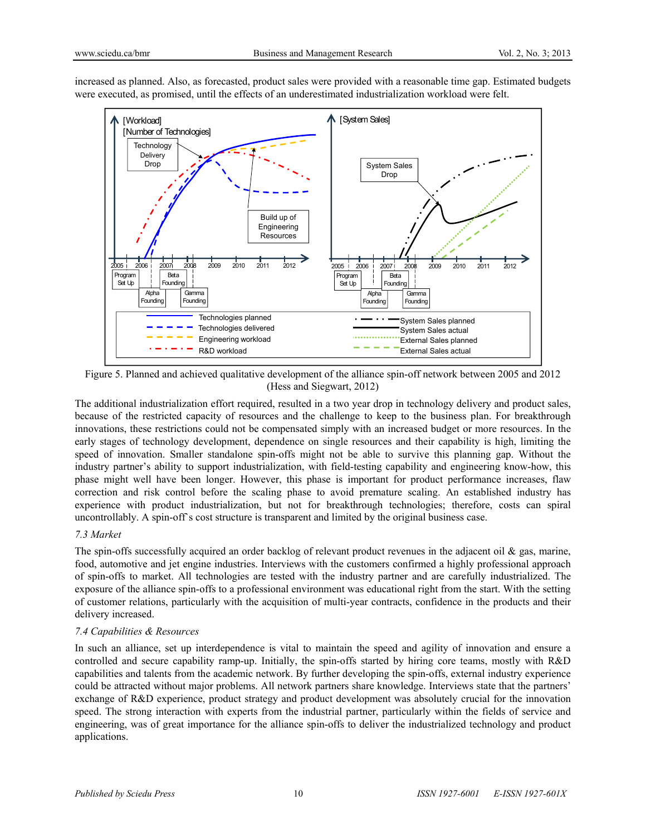increased as planned. Also, as forecasted, product sales were provided with a reasonable time gap. Estimated budgets were executed, as promised, until the effects of an underestimated industrialization workload were felt.



Figure 5. Planned and achieved qualitative development of the alliance spin-off network between 2005 and 2012 (Hess and Siegwart, 2012)

The additional industrialization effort required, resulted in a two year drop in technology delivery and product sales, because of the restricted capacity of resources and the challenge to keep to the business plan. For breakthrough innovations, these restrictions could not be compensated simply with an increased budget or more resources. In the early stages of technology development, dependence on single resources and their capability is high, limiting the speed of innovation. Smaller standalone spin-offs might not be able to survive this planning gap. Without the industry partner's ability to support industrialization, with field-testing capability and engineering know-how, this phase might well have been longer. However, this phase is important for product performance increases, flaw correction and risk control before the scaling phase to avoid premature scaling. An established industry has experience with product industrialization, but not for breakthrough technologies; therefore, costs can spiral uncontrollably. A spin-off`s cost structure is transparent and limited by the original business case.

### *7.3 Market*

The spin-offs successfully acquired an order backlog of relevant product revenues in the adjacent oil  $\&$  gas, marine, food, automotive and jet engine industries. Interviews with the customers confirmed a highly professional approach of spin-offs to market. All technologies are tested with the industry partner and are carefully industrialized. The exposure of the alliance spin-offs to a professional environment was educational right from the start. With the setting of customer relations, particularly with the acquisition of multi-year contracts, confidence in the products and their delivery increased.

### *7.4 Capabilities & Resources*

In such an alliance, set up interdependence is vital to maintain the speed and agility of innovation and ensure a controlled and secure capability ramp-up. Initially, the spin-offs started by hiring core teams, mostly with R&D capabilities and talents from the academic network. By further developing the spin-offs, external industry experience could be attracted without major problems. All network partners share knowledge. Interviews state that the partners' exchange of R&D experience, product strategy and product development was absolutely crucial for the innovation speed. The strong interaction with experts from the industrial partner, particularly within the fields of service and engineering, was of great importance for the alliance spin-offs to deliver the industrialized technology and product applications.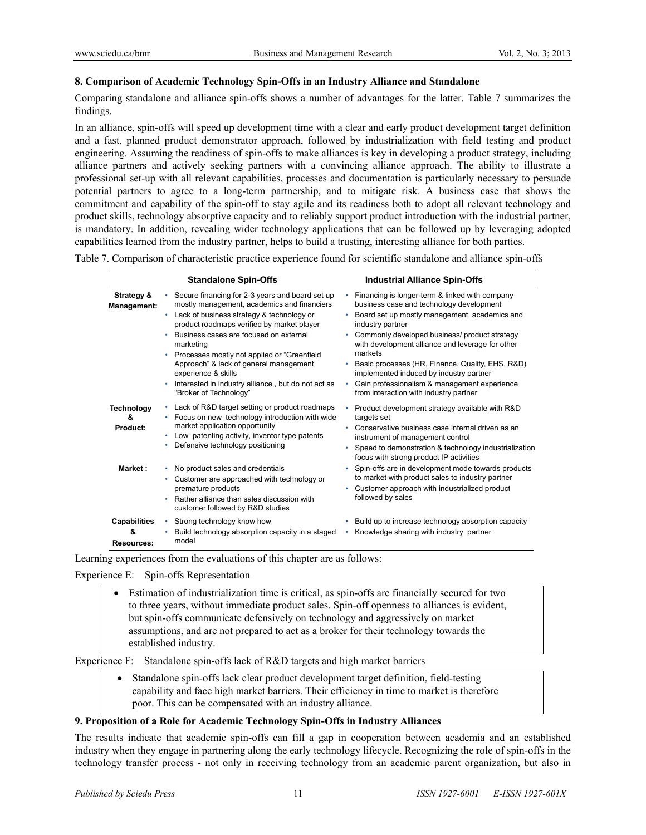# **8. Comparison of Academic Technology Spin-Offs in an Industry Alliance and Standalone**

Comparing standalone and alliance spin-offs shows a number of advantages for the latter. Table 7 summarizes the findings.

In an alliance, spin-offs will speed up development time with a clear and early product development target definition and a fast, planned product demonstrator approach, followed by industrialization with field testing and product engineering. Assuming the readiness of spin-offs to make alliances is key in developing a product strategy, including alliance partners and actively seeking partners with a convincing alliance approach. The ability to illustrate a professional set-up with all relevant capabilities, processes and documentation is particularly necessary to persuade potential partners to agree to a long-term partnership, and to mitigate risk. A business case that shows the commitment and capability of the spin-off to stay agile and its readiness both to adopt all relevant technology and product skills, technology absorptive capacity and to reliably support product introduction with the industrial partner, is mandatory. In addition, revealing wider technology applications that can be followed up by leveraging adopted capabilities learned from the industry partner, helps to build a trusting, interesting alliance for both parties.

Table 7. Comparison of characteristic practice experience found for scientific standalone and alliance spin-offs

|                                        | <b>Standalone Spin-Offs</b>                                                                                                                                                                                                                                                                                                                                                                                                                                                | <b>Industrial Alliance Spin-Offs</b>                                                                                                                                                                                                                                                                                                                                                                                                                                     |
|----------------------------------------|----------------------------------------------------------------------------------------------------------------------------------------------------------------------------------------------------------------------------------------------------------------------------------------------------------------------------------------------------------------------------------------------------------------------------------------------------------------------------|--------------------------------------------------------------------------------------------------------------------------------------------------------------------------------------------------------------------------------------------------------------------------------------------------------------------------------------------------------------------------------------------------------------------------------------------------------------------------|
| Strategy &<br>Management:              | Secure financing for 2-3 years and board set up<br>۰<br>mostly management, academics and financiers<br>Lack of business strategy & technology or<br>۰<br>product roadmaps verified by market player<br>Business cases are focused on external<br>٠<br>marketing<br>Processes mostly not applied or "Greenfield"<br>۰<br>Approach" & lack of general management<br>experience & skills<br>Interested in industry alliance, but do not act as<br>۰<br>"Broker of Technology" | Financing is longer-term & linked with company<br>business case and technology development<br>Board set up mostly management, academics and<br>industry partner<br>Commonly developed business/ product strategy<br>with development alliance and leverage for other<br>markets<br>Basic processes (HR, Finance, Quality, EHS, R&D)<br>implemented induced by industry partner<br>Gain professionalism & management experience<br>from interaction with industry partner |
| <b>Technology</b><br>&<br>Product:     | • Lack of R&D target setting or product roadmaps<br>Focus on new technology introduction with wide<br>٠<br>market application opportunity<br>Low patenting activity, inventor type patents<br>۰<br>Defensive technology positioning<br>٠                                                                                                                                                                                                                                   | Product development strategy available with R&D<br>targets set<br>Conservative business case internal driven as an<br>۰<br>instrument of management control<br>Speed to demonstration & technology industrialization<br>focus with strong product IP activities                                                                                                                                                                                                          |
| Market :                               | No product sales and credentials<br>٠<br>Customer are approached with technology or<br>٠<br>premature products<br>Rather alliance than sales discussion with<br>٠<br>customer followed by R&D studies                                                                                                                                                                                                                                                                      | Spin-offs are in development mode towards products<br>to market with product sales to industry partner<br>Customer approach with industrialized product<br>followed by sales                                                                                                                                                                                                                                                                                             |
| <b>Capabilities</b><br>&<br>Resources: | • Strong technology know how<br>Build technology absorption capacity in a staged<br>model                                                                                                                                                                                                                                                                                                                                                                                  | Build up to increase technology absorption capacity<br>Knowledge sharing with industry partner                                                                                                                                                                                                                                                                                                                                                                           |

Learning experiences from the evaluations of this chapter are as follows:

### Experience E: Spin-offs Representation

 Estimation of industrialization time is critical, as spin-offs are financially secured for two to three years, without immediate product sales. Spin-off openness to alliances is evident, but spin-offs communicate defensively on technology and aggressively on market assumptions, and are not prepared to act as a broker for their technology towards the established industry.

Experience F: Standalone spin-offs lack of R&D targets and high market barriers

 Standalone spin-offs lack clear product development target definition, field-testing capability and face high market barriers. Their efficiency in time to market is therefore poor. This can be compensated with an industry alliance.

### **9. Proposition of a Role for Academic Technology Spin-Offs in Industry Alliances**

The results indicate that academic spin-offs can fill a gap in cooperation between academia and an established industry when they engage in partnering along the early technology lifecycle. Recognizing the role of spin-offs in the technology transfer process - not only in receiving technology from an academic parent organization, but also in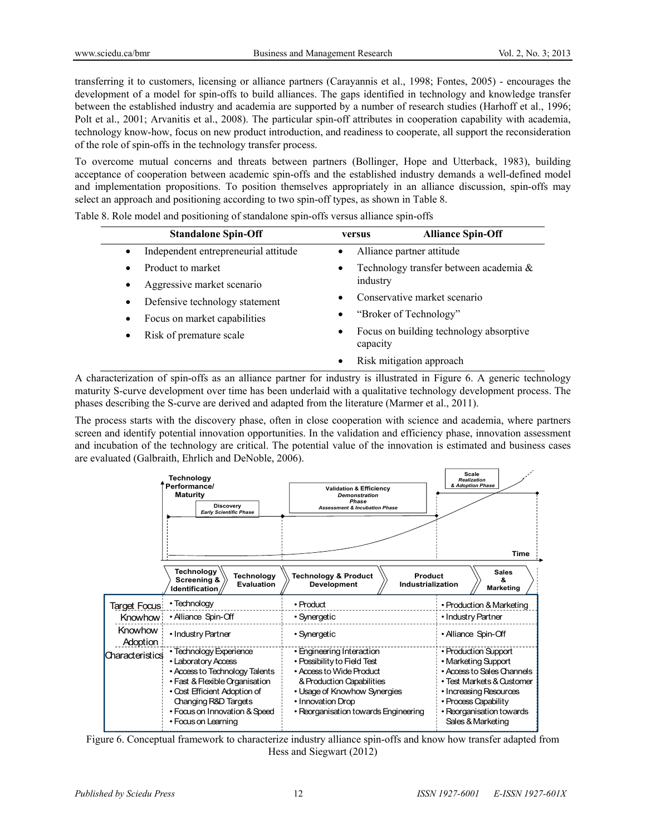transferring it to customers, licensing or alliance partners (Carayannis et al., 1998; Fontes, 2005) - encourages the development of a model for spin-offs to build alliances. The gaps identified in technology and knowledge transfer between the established industry and academia are supported by a number of research studies (Harhoff et al., 1996; Polt et al., 2001; Arvanitis et al., 2008). The particular spin-off attributes in cooperation capability with academia, technology know-how, focus on new product introduction, and readiness to cooperate, all support the reconsideration of the role of spin-offs in the technology transfer process.

To overcome mutual concerns and threats between partners (Bollinger, Hope and Utterback, 1983), building acceptance of cooperation between academic spin-offs and the established industry demands a well-defined model and implementation propositions. To position themselves appropriately in an alliance discussion, spin-offs may select an approach and positioning according to two spin-off types, as shown in Table 8.

| <b>Standalone Spin-Off</b>                        | versus                                                          | <b>Alliance Spin-Off</b>                |
|---------------------------------------------------|-----------------------------------------------------------------|-----------------------------------------|
| Independent entrepreneurial attitude<br>$\bullet$ | Alliance partner attitude<br>$\bullet$                          |                                         |
| Product to market<br>$\bullet$                    | Technology transfer between academia &<br>$\bullet$<br>industry |                                         |
| Aggressive market scenario<br>$\bullet$           |                                                                 |                                         |
| Defensive technology statement<br>$\bullet$       |                                                                 | Conservative market scenario            |
| Focus on market capabilities<br>$\bullet$         | "Broker of Technology"<br>$\bullet$                             |                                         |
| Risk of premature scale<br>$\bullet$              | $\bullet$<br>capacity                                           | Focus on building technology absorptive |
|                                                   |                                                                 | Risk mitigation approach                |

A characterization of spin-offs as an alliance partner for industry is illustrated in Figure 6. A generic technology maturity S-curve development over time has been underlaid with a qualitative technology development process. The phases describing the S-curve are derived and adapted from the literature (Marmer et al., 2011).

The process starts with the discovery phase, often in close cooperation with science and academia, where partners screen and identify potential innovation opportunities. In the validation and efficiency phase, innovation assessment and incubation of the technology are critical. The potential value of the innovation is estimated and business cases are evaluated (Galbraith, Ehrlich and DeNoble, 2006).



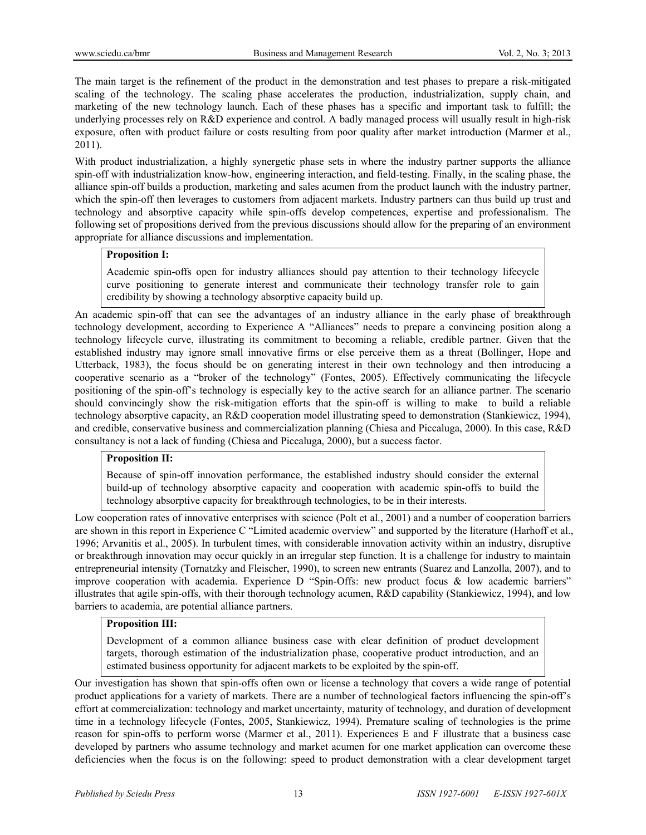The main target is the refinement of the product in the demonstration and test phases to prepare a risk-mitigated scaling of the technology. The scaling phase accelerates the production, industrialization, supply chain, and marketing of the new technology launch. Each of these phases has a specific and important task to fulfill; the underlying processes rely on R&D experience and control. A badly managed process will usually result in high-risk exposure, often with product failure or costs resulting from poor quality after market introduction (Marmer et al., 2011).

With product industrialization, a highly synergetic phase sets in where the industry partner supports the alliance spin-off with industrialization know-how, engineering interaction, and field-testing. Finally, in the scaling phase, the alliance spin-off builds a production, marketing and sales acumen from the product launch with the industry partner, which the spin-off then leverages to customers from adjacent markets. Industry partners can thus build up trust and technology and absorptive capacity while spin-offs develop competences, expertise and professionalism. The following set of propositions derived from the previous discussions should allow for the preparing of an environment appropriate for alliance discussions and implementation.

### **Proposition I:**

Academic spin-offs open for industry alliances should pay attention to their technology lifecycle curve positioning to generate interest and communicate their technology transfer role to gain credibility by showing a technology absorptive capacity build up.

An academic spin-off that can see the advantages of an industry alliance in the early phase of breakthrough technology development, according to Experience A "Alliances" needs to prepare a convincing position along a technology lifecycle curve, illustrating its commitment to becoming a reliable, credible partner. Given that the established industry may ignore small innovative firms or else perceive them as a threat (Bollinger, Hope and Utterback, 1983), the focus should be on generating interest in their own technology and then introducing a cooperative scenario as a "broker of the technology" (Fontes, 2005). Effectively communicating the lifecycle positioning of the spin-off's technology is especially key to the active search for an alliance partner. The scenario should convincingly show the risk-mitigation efforts that the spin-off is willing to make to build a reliable technology absorptive capacity, an R&D cooperation model illustrating speed to demonstration (Stankiewicz, 1994), and credible, conservative business and commercialization planning (Chiesa and Piccaluga, 2000). In this case, R&D consultancy is not a lack of funding (Chiesa and Piccaluga, 2000), but a success factor.

### **Proposition II:**

Because of spin-off innovation performance, the established industry should consider the external build-up of technology absorptive capacity and cooperation with academic spin-offs to build the technology absorptive capacity for breakthrough technologies, to be in their interests.

Low cooperation rates of innovative enterprises with science (Polt et al., 2001) and a number of cooperation barriers are shown in this report in Experience C "Limited academic overview" and supported by the literature (Harhoff et al., 1996; Arvanitis et al., 2005). In turbulent times, with considerable innovation activity within an industry, disruptive or breakthrough innovation may occur quickly in an irregular step function. It is a challenge for industry to maintain entrepreneurial intensity (Tornatzky and Fleischer, 1990), to screen new entrants (Suarez and Lanzolla, 2007), and to improve cooperation with academia. Experience D "Spin-Offs: new product focus & low academic barriers" illustrates that agile spin-offs, with their thorough technology acumen, R&D capability (Stankiewicz, 1994), and low barriers to academia, are potential alliance partners.

### **Proposition III:**

Development of a common alliance business case with clear definition of product development targets, thorough estimation of the industrialization phase, cooperative product introduction, and an estimated business opportunity for adjacent markets to be exploited by the spin-off.

Our investigation has shown that spin-offs often own or license a technology that covers a wide range of potential product applications for a variety of markets. There are a number of technological factors influencing the spin-off's effort at commercialization: technology and market uncertainty, maturity of technology, and duration of development time in a technology lifecycle (Fontes, 2005, Stankiewicz, 1994). Premature scaling of technologies is the prime reason for spin-offs to perform worse (Marmer et al., 2011). Experiences E and F illustrate that a business case developed by partners who assume technology and market acumen for one market application can overcome these deficiencies when the focus is on the following: speed to product demonstration with a clear development target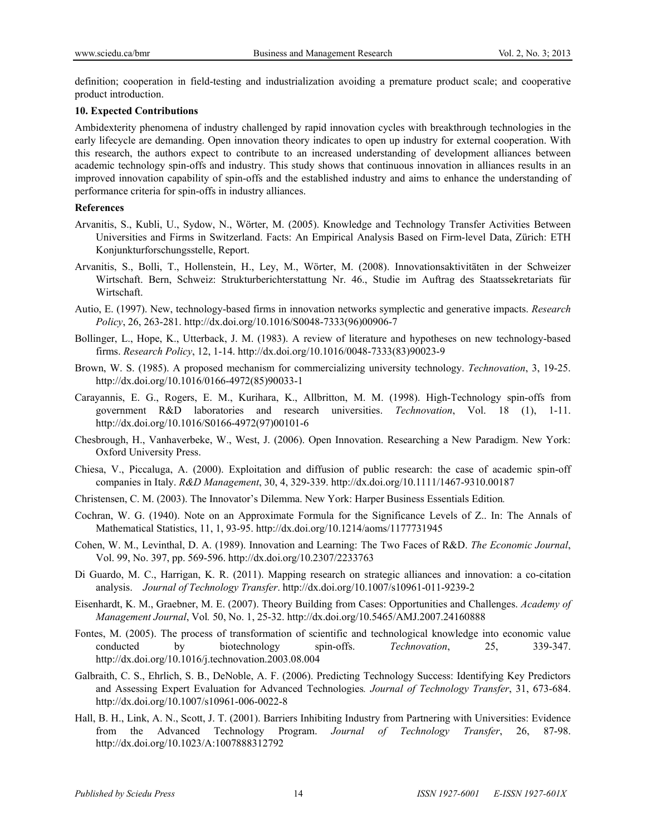definition; cooperation in field-testing and industrialization avoiding a premature product scale; and cooperative product introduction.

#### **10. Expected Contributions**

Ambidexterity phenomena of industry challenged by rapid innovation cycles with breakthrough technologies in the early lifecycle are demanding. Open innovation theory indicates to open up industry for external cooperation. With this research, the authors expect to contribute to an increased understanding of development alliances between academic technology spin-offs and industry. This study shows that continuous innovation in alliances results in an improved innovation capability of spin-offs and the established industry and aims to enhance the understanding of performance criteria for spin-offs in industry alliances.

#### **References**

- Arvanitis, S., Kubli, U., Sydow, N., Wörter, M. (2005). Knowledge and Technology Transfer Activities Between Universities and Firms in Switzerland. Facts: An Empirical Analysis Based on Firm-level Data, Zürich: ETH Konjunkturforschungsstelle, Report.
- Arvanitis, S., Bolli, T., Hollenstein, H., Ley, M., Wörter, M. (2008). Innovationsaktivitäten in der Schweizer Wirtschaft. Bern, Schweiz: Strukturberichterstattung Nr. 46., Studie im Auftrag des Staatssekretariats für Wirtschaft.
- Autio, E. (1997). New, technology-based firms in innovation networks symplectic and generative impacts. *Research Policy*, 26, 263-281. http://dx.doi.org/10.1016/S0048-7333(96)00906-7
- Bollinger, L., Hope, K., Utterback, J. M. (1983). A review of literature and hypotheses on new technology-based firms. *Research Policy*, 12, 1-14. http://dx.doi.org/10.1016/0048-7333(83)90023-9
- Brown, W. S. (1985). A proposed mechanism for commercializing university technology. *Technovation*, 3, 19-25. http://dx.doi.org/10.1016/0166-4972(85)90033-1
- Carayannis, E. G., Rogers, E. M., Kurihara, K., Allbritton, M. M. (1998). High-Technology spin-offs from government R&D laboratories and research universities. *Technovation*, Vol. 18 (1), 1-11. http://dx.doi.org/10.1016/S0166-4972(97)00101-6
- Chesbrough, H., Vanhaverbeke, W., West, J. (2006). Open Innovation. Researching a New Paradigm. New York: Oxford University Press.
- Chiesa, V., Piccaluga, A. (2000). Exploitation and diffusion of public research: the case of academic spin-off companies in Italy. *R&D Management*, 30, 4, 329-339. http://dx.doi.org/10.1111/1467-9310.00187
- Christensen, C. M. (2003). The Innovator's Dilemma. New York: Harper Business Essentials Edition*.*
- Cochran, W. G. (1940). Note on an Approximate Formula for the Significance Levels of Z.. In: The Annals of Mathematical Statistics, 11, 1, 93-95. http://dx.doi.org/10.1214/aoms/1177731945
- Cohen, W. M., Levinthal, D. A. (1989). Innovation and Learning: The Two Faces of R&D. *The Economic Journal*, Vol. 99, No. 397, pp. 569-596. http://dx.doi.org/10.2307/2233763
- Di Guardo, M. C., Harrigan, K. R. (2011). Mapping research on strategic alliances and innovation: a co-citation analysis. *Journal of Technology Transfer*. http://dx.doi.org/10.1007/s10961-011-9239-2
- Eisenhardt, K. M., Graebner, M. E. (2007). Theory Building from Cases: Opportunities and Challenges. *Academy of Management Journal*, Vol*.* 50, No. 1, 25-32. http://dx.doi.org/10.5465/AMJ.2007.24160888
- Fontes, M. (2005). The process of transformation of scientific and technological knowledge into economic value conducted by biotechnology spin-offs. *Technovation*, 25, 339-347. http://dx.doi.org/10.1016/j.technovation.2003.08.004
- Galbraith, C. S., Ehrlich, S. B., DeNoble, A. F. (2006). Predicting Technology Success: Identifying Key Predictors and Assessing Expert Evaluation for Advanced Technologies*. Journal of Technology Transfer*, 31, 673-684. http://dx.doi.org/10.1007/s10961-006-0022-8
- Hall, B. H., Link, A. N., Scott, J. T. (2001). Barriers Inhibiting Industry from Partnering with Universities: Evidence from the Advanced Technology Program. *Journal of Technology Transfer*, 26, 87-98. http://dx.doi.org/10.1023/A:1007888312792